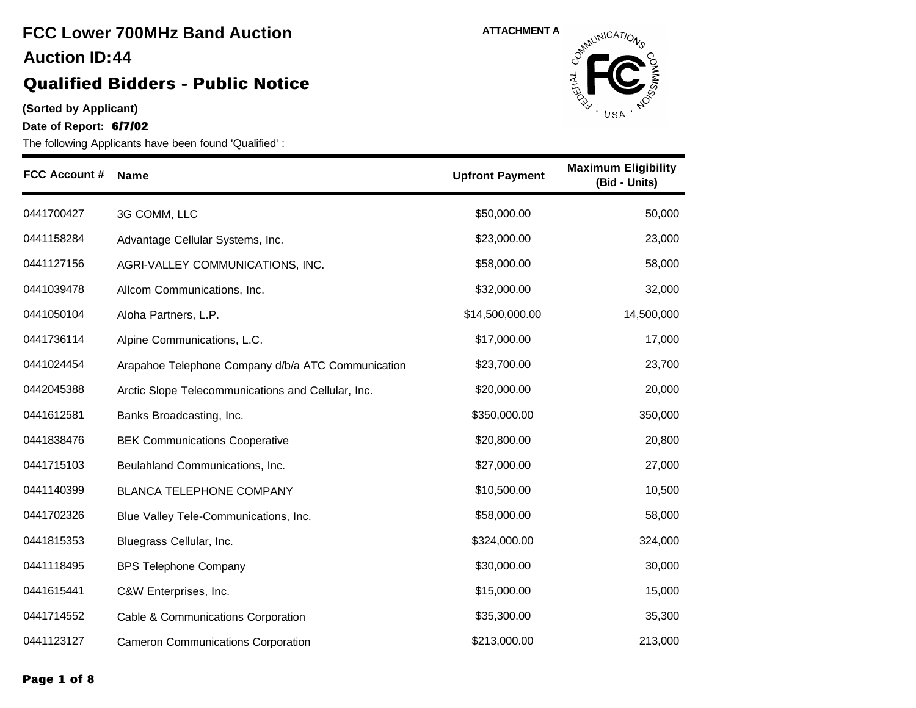### **Qualified Bidders - Public Notice**

**(Sorted by Applicant)**

**Date of Report: 6/7/02**



| <b>FCC Account #</b> | <b>Name</b>                                        | <b>Upfront Payment</b> | <b>Maximum Eligibility</b><br>(Bid - Units) |
|----------------------|----------------------------------------------------|------------------------|---------------------------------------------|
| 0441700427           | 3G COMM, LLC                                       | \$50,000.00            | 50,000                                      |
| 0441158284           | Advantage Cellular Systems, Inc.                   | \$23,000.00            | 23,000                                      |
| 0441127156           | AGRI-VALLEY COMMUNICATIONS, INC.                   | \$58,000.00            | 58,000                                      |
| 0441039478           | Allcom Communications, Inc.                        | \$32,000.00            | 32,000                                      |
| 0441050104           | Aloha Partners, L.P.                               | \$14,500,000.00        | 14,500,000                                  |
| 0441736114           | Alpine Communications, L.C.                        | \$17,000.00            | 17,000                                      |
| 0441024454           | Arapahoe Telephone Company d/b/a ATC Communication | \$23,700.00            | 23,700                                      |
| 0442045388           | Arctic Slope Telecommunications and Cellular, Inc. | \$20,000.00            | 20,000                                      |
| 0441612581           | Banks Broadcasting, Inc.                           | \$350,000.00           | 350,000                                     |
| 0441838476           | <b>BEK Communications Cooperative</b>              | \$20,800.00            | 20,800                                      |
| 0441715103           | Beulahland Communications, Inc.                    | \$27,000.00            | 27,000                                      |
| 0441140399           | <b>BLANCA TELEPHONE COMPANY</b>                    | \$10,500.00            | 10,500                                      |
| 0441702326           | Blue Valley Tele-Communications, Inc.              | \$58,000.00            | 58,000                                      |
| 0441815353           | Bluegrass Cellular, Inc.                           | \$324,000.00           | 324,000                                     |
| 0441118495           | <b>BPS Telephone Company</b>                       | \$30,000.00            | 30,000                                      |
| 0441615441           | C&W Enterprises, Inc.                              | \$15,000.00            | 15,000                                      |
| 0441714552           | Cable & Communications Corporation                 | \$35,300.00            | 35,300                                      |
| 0441123127           | <b>Cameron Communications Corporation</b>          | \$213,000.00           | 213,000                                     |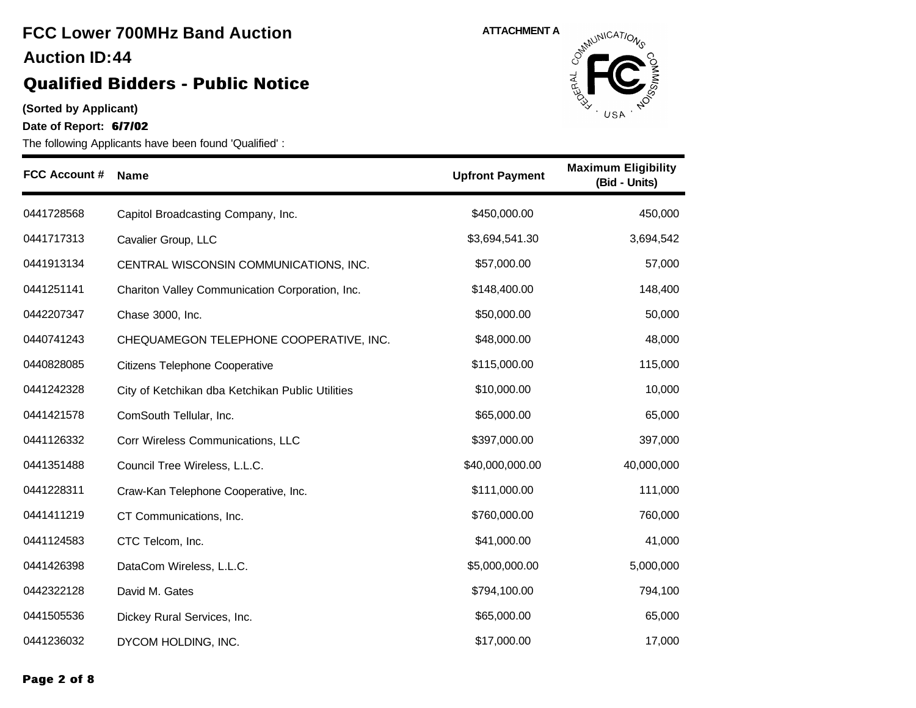#### **(Sorted by Applicant)**

**Date of Report: 6/7/02**



| <b>FCC Account #</b> | <b>Name</b>                                      | <b>Upfront Payment</b> | <b>Maximum Eligibility</b><br>(Bid - Units) |
|----------------------|--------------------------------------------------|------------------------|---------------------------------------------|
| 0441728568           | Capitol Broadcasting Company, Inc.               | \$450,000.00           | 450,000                                     |
| 0441717313           | Cavalier Group, LLC                              | \$3,694,541.30         | 3,694,542                                   |
| 0441913134           | CENTRAL WISCONSIN COMMUNICATIONS, INC.           | \$57,000.00            | 57,000                                      |
| 0441251141           | Chariton Valley Communication Corporation, Inc.  | \$148,400.00           | 148,400                                     |
| 0442207347           | Chase 3000, Inc.                                 | \$50,000.00            | 50,000                                      |
| 0440741243           | CHEQUAMEGON TELEPHONE COOPERATIVE, INC.          | \$48,000.00            | 48,000                                      |
| 0440828085           | Citizens Telephone Cooperative                   | \$115,000.00           | 115,000                                     |
| 0441242328           | City of Ketchikan dba Ketchikan Public Utilities | \$10,000.00            | 10,000                                      |
| 0441421578           | ComSouth Tellular, Inc.                          | \$65,000.00            | 65,000                                      |
| 0441126332           | Corr Wireless Communications, LLC                | \$397,000.00           | 397,000                                     |
| 0441351488           | Council Tree Wireless, L.L.C.                    | \$40,000,000.00        | 40,000,000                                  |
| 0441228311           | Craw-Kan Telephone Cooperative, Inc.             | \$111,000.00           | 111,000                                     |
| 0441411219           | CT Communications, Inc.                          | \$760,000.00           | 760,000                                     |
| 0441124583           | CTC Telcom, Inc.                                 | \$41,000.00            | 41,000                                      |
| 0441426398           | DataCom Wireless, L.L.C.                         | \$5,000,000.00         | 5,000,000                                   |
| 0442322128           | David M. Gates                                   | \$794,100.00           | 794,100                                     |
| 0441505536           | Dickey Rural Services, Inc.                      | \$65,000.00            | 65,000                                      |
| 0441236032           | DYCOM HOLDING, INC.                              | \$17,000.00            | 17,000                                      |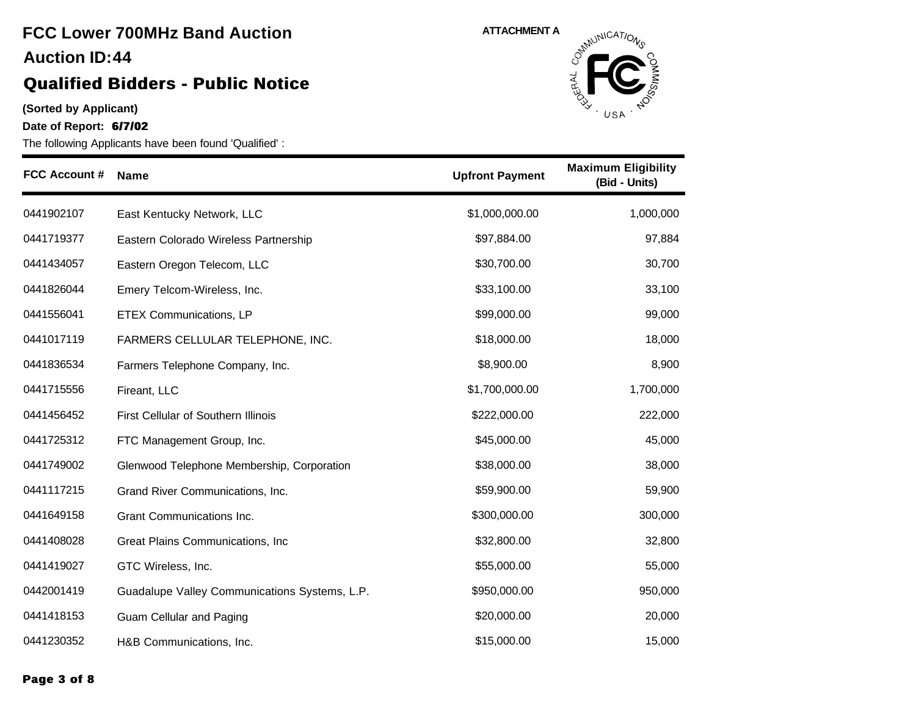### **Qualified Bidders - Public Notice**

**(Sorted by Applicant)**

**Date of Report: 6/7/02**



| <b>FCC Account #</b> | <b>Name</b>                                   | <b>Upfront Payment</b> | <b>Maximum Eligibility</b><br>(Bid - Units) |
|----------------------|-----------------------------------------------|------------------------|---------------------------------------------|
| 0441902107           | East Kentucky Network, LLC                    | \$1,000,000.00         | 1,000,000                                   |
| 0441719377           | Eastern Colorado Wireless Partnership         | \$97,884.00            | 97,884                                      |
| 0441434057           | Eastern Oregon Telecom, LLC                   | \$30,700.00            | 30,700                                      |
| 0441826044           | Emery Telcom-Wireless, Inc.                   | \$33,100.00            | 33,100                                      |
| 0441556041           | <b>ETEX Communications, LP</b>                | \$99,000.00            | 99,000                                      |
| 0441017119           | FARMERS CELLULAR TELEPHONE, INC.              | \$18,000.00            | 18,000                                      |
| 0441836534           | Farmers Telephone Company, Inc.               | \$8,900.00             | 8,900                                       |
| 0441715556           | Fireant, LLC                                  | \$1,700,000.00         | 1,700,000                                   |
| 0441456452           | First Cellular of Southern Illinois           | \$222,000.00           | 222,000                                     |
| 0441725312           | FTC Management Group, Inc.                    | \$45,000.00            | 45,000                                      |
| 0441749002           | Glenwood Telephone Membership, Corporation    | \$38,000.00            | 38,000                                      |
| 0441117215           | Grand River Communications, Inc.              | \$59,900.00            | 59,900                                      |
| 0441649158           | Grant Communications Inc.                     | \$300,000.00           | 300,000                                     |
| 0441408028           | Great Plains Communications, Inc.             | \$32,800.00            | 32,800                                      |
| 0441419027           | GTC Wireless, Inc.                            | \$55,000.00            | 55,000                                      |
| 0442001419           | Guadalupe Valley Communications Systems, L.P. | \$950,000.00           | 950,000                                     |
| 0441418153           | Guam Cellular and Paging                      | \$20,000.00            | 20,000                                      |
| 0441230352           | H&B Communications, Inc.                      | \$15,000.00            | 15,000                                      |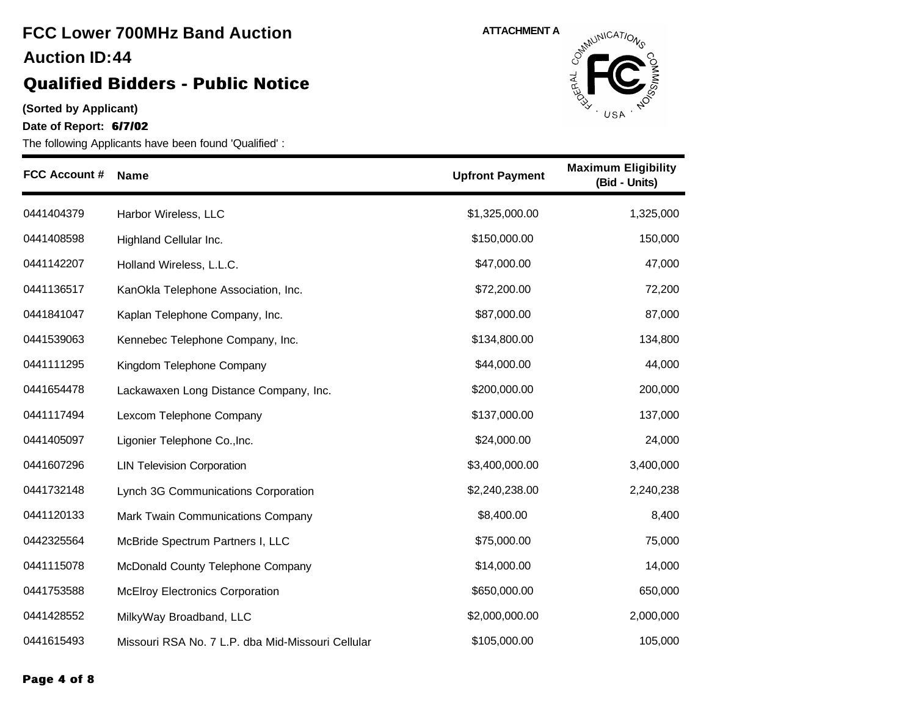#### **(Sorted by Applicant)**

**Date of Report: 6/7/02**



| <b>FCC Account #</b> | <b>Name</b>                                       | <b>Upfront Payment</b> | <b>Maximum Eligibility</b><br>(Bid - Units) |
|----------------------|---------------------------------------------------|------------------------|---------------------------------------------|
| 0441404379           | Harbor Wireless, LLC                              | \$1,325,000.00         | 1,325,000                                   |
| 0441408598           | Highland Cellular Inc.                            | \$150,000.00           | 150,000                                     |
| 0441142207           | Holland Wireless, L.L.C.                          | \$47,000.00            | 47,000                                      |
| 0441136517           | KanOkla Telephone Association, Inc.               | \$72,200.00            | 72,200                                      |
| 0441841047           | Kaplan Telephone Company, Inc.                    | \$87,000.00            | 87,000                                      |
| 0441539063           | Kennebec Telephone Company, Inc.                  | \$134,800.00           | 134,800                                     |
| 0441111295           | Kingdom Telephone Company                         | \$44,000.00            | 44,000                                      |
| 0441654478           | Lackawaxen Long Distance Company, Inc.            | \$200,000.00           | 200,000                                     |
| 0441117494           | Lexcom Telephone Company                          | \$137,000.00           | 137,000                                     |
| 0441405097           | Ligonier Telephone Co., Inc.                      | \$24,000.00            | 24,000                                      |
| 0441607296           | <b>LIN Television Corporation</b>                 | \$3,400,000.00         | 3,400,000                                   |
| 0441732148           | Lynch 3G Communications Corporation               | \$2,240,238.00         | 2,240,238                                   |
| 0441120133           | Mark Twain Communications Company                 | \$8,400.00             | 8,400                                       |
| 0442325564           | McBride Spectrum Partners I, LLC                  | \$75,000.00            | 75,000                                      |
| 0441115078           | McDonald County Telephone Company                 | \$14,000.00            | 14,000                                      |
| 0441753588           | <b>McElroy Electronics Corporation</b>            | \$650,000.00           | 650,000                                     |
| 0441428552           | MilkyWay Broadband, LLC                           | \$2,000,000.00         | 2,000,000                                   |
| 0441615493           | Missouri RSA No. 7 L.P. dba Mid-Missouri Cellular | \$105,000.00           | 105,000                                     |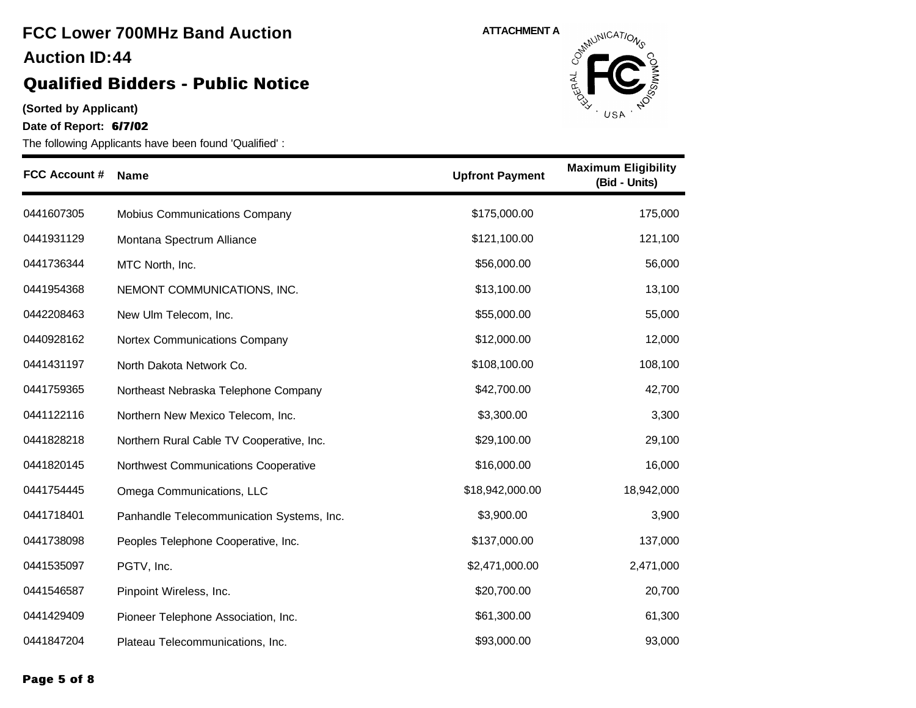### **Qualified Bidders - Public Notice**

**(Sorted by Applicant)**

**Date of Report: 6/7/02**



| <b>FCC Account #</b> | <b>Name</b>                               | <b>Upfront Payment</b> | <b>Maximum Eligibility</b><br>(Bid - Units) |
|----------------------|-------------------------------------------|------------------------|---------------------------------------------|
| 0441607305           | Mobius Communications Company             | \$175,000.00           | 175,000                                     |
| 0441931129           | Montana Spectrum Alliance                 | \$121,100.00           | 121,100                                     |
| 0441736344           | MTC North, Inc.                           | \$56,000.00            | 56,000                                      |
| 0441954368           | NEMONT COMMUNICATIONS, INC.               | \$13,100.00            | 13,100                                      |
| 0442208463           | New Ulm Telecom, Inc.                     | \$55,000.00            | 55,000                                      |
| 0440928162           | Nortex Communications Company             | \$12,000.00            | 12,000                                      |
| 0441431197           | North Dakota Network Co.                  | \$108,100.00           | 108,100                                     |
| 0441759365           | Northeast Nebraska Telephone Company      | \$42,700.00            | 42,700                                      |
| 0441122116           | Northern New Mexico Telecom, Inc.         | \$3,300.00             | 3,300                                       |
| 0441828218           | Northern Rural Cable TV Cooperative, Inc. | \$29,100.00            | 29,100                                      |
| 0441820145           | Northwest Communications Cooperative      | \$16,000.00            | 16,000                                      |
| 0441754445           | Omega Communications, LLC                 | \$18,942,000.00        | 18,942,000                                  |
| 0441718401           | Panhandle Telecommunication Systems, Inc. | \$3,900.00             | 3,900                                       |
| 0441738098           | Peoples Telephone Cooperative, Inc.       | \$137,000.00           | 137,000                                     |
| 0441535097           | PGTV, Inc.                                | \$2,471,000.00         | 2,471,000                                   |
| 0441546587           | Pinpoint Wireless, Inc.                   | \$20,700.00            | 20,700                                      |
| 0441429409           | Pioneer Telephone Association, Inc.       | \$61,300.00            | 61,300                                      |
| 0441847204           | Plateau Telecommunications, Inc.          | \$93,000.00            | 93,000                                      |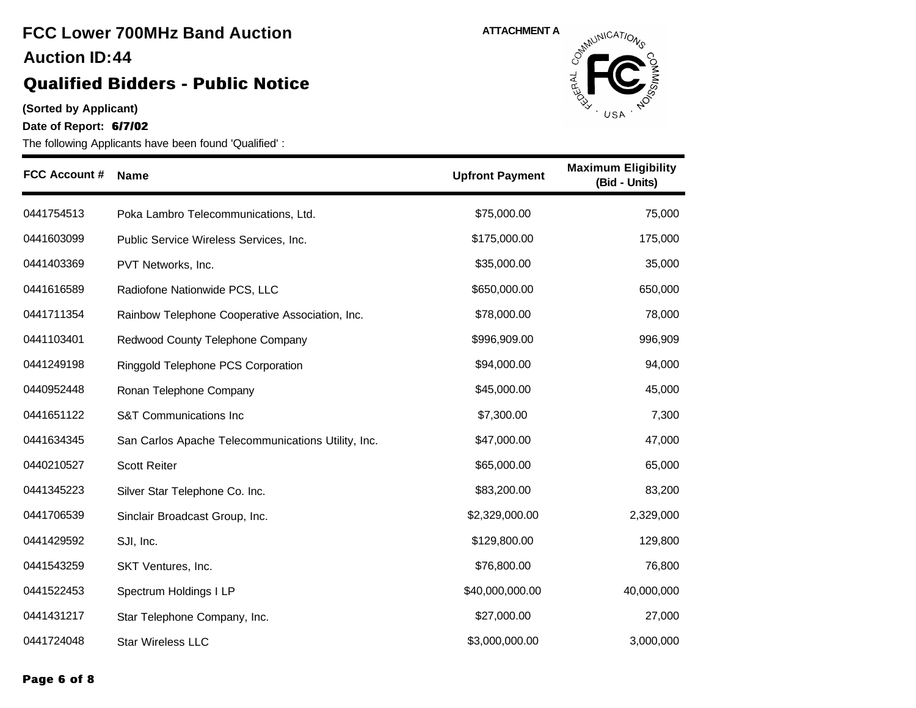#### **(Sorted by Applicant)**

**Date of Report: 6/7/02**



| <b>FCC Account #</b> | <b>Name</b>                                        | <b>Upfront Payment</b> | <b>Maximum Eligibility</b><br>(Bid - Units) |
|----------------------|----------------------------------------------------|------------------------|---------------------------------------------|
| 0441754513           | Poka Lambro Telecommunications, Ltd.               | \$75,000.00            | 75,000                                      |
| 0441603099           | Public Service Wireless Services, Inc.             | \$175,000.00           | 175,000                                     |
| 0441403369           | PVT Networks, Inc.                                 | \$35,000.00            | 35,000                                      |
| 0441616589           | Radiofone Nationwide PCS, LLC                      | \$650,000.00           | 650,000                                     |
| 0441711354           | Rainbow Telephone Cooperative Association, Inc.    | \$78,000.00            | 78,000                                      |
| 0441103401           | Redwood County Telephone Company                   | \$996,909.00           | 996,909                                     |
| 0441249198           | Ringgold Telephone PCS Corporation                 | \$94,000.00            | 94,000                                      |
| 0440952448           | Ronan Telephone Company                            | \$45,000.00            | 45,000                                      |
| 0441651122           | S&T Communications Inc                             | \$7,300.00             | 7,300                                       |
| 0441634345           | San Carlos Apache Telecommunications Utility, Inc. | \$47,000.00            | 47,000                                      |
| 0440210527           | <b>Scott Reiter</b>                                | \$65,000.00            | 65,000                                      |
| 0441345223           | Silver Star Telephone Co. Inc.                     | \$83,200.00            | 83,200                                      |
| 0441706539           | Sinclair Broadcast Group, Inc.                     | \$2,329,000.00         | 2,329,000                                   |
| 0441429592           | SJI, Inc.                                          | \$129,800.00           | 129,800                                     |
| 0441543259           | SKT Ventures, Inc.                                 | \$76,800.00            | 76,800                                      |
| 0441522453           | Spectrum Holdings I LP                             | \$40,000,000.00        | 40,000,000                                  |
| 0441431217           | Star Telephone Company, Inc.                       | \$27,000.00            | 27,000                                      |
| 0441724048           | <b>Star Wireless LLC</b>                           | \$3,000,000.00         | 3,000,000                                   |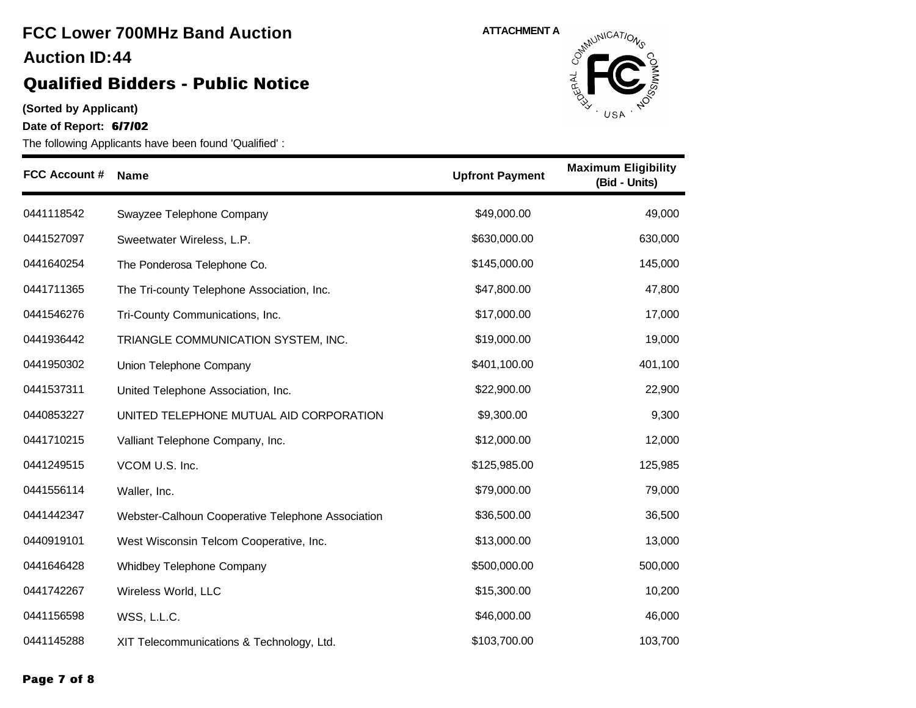### **(Sorted by Applicant)**

**Date of Report: 6/7/02**



| <b>FCC Account #</b> | <b>Name</b>                                       | <b>Upfront Payment</b> | <b>Maximum Eligibility</b><br>(Bid - Units) |
|----------------------|---------------------------------------------------|------------------------|---------------------------------------------|
| 0441118542           | Swayzee Telephone Company                         | \$49,000.00            | 49,000                                      |
| 0441527097           | Sweetwater Wireless, L.P.                         | \$630,000.00           | 630,000                                     |
| 0441640254           | The Ponderosa Telephone Co.                       | \$145,000.00           | 145,000                                     |
| 0441711365           | The Tri-county Telephone Association, Inc.        | \$47,800.00            | 47,800                                      |
| 0441546276           | Tri-County Communications, Inc.                   | \$17,000.00            | 17,000                                      |
| 0441936442           | TRIANGLE COMMUNICATION SYSTEM, INC.               | \$19,000.00            | 19,000                                      |
| 0441950302           | Union Telephone Company                           | \$401,100.00           | 401,100                                     |
| 0441537311           | United Telephone Association, Inc.                | \$22,900.00            | 22,900                                      |
| 0440853227           | UNITED TELEPHONE MUTUAL AID CORPORATION           | \$9,300.00             | 9,300                                       |
| 0441710215           | Valliant Telephone Company, Inc.                  | \$12,000.00            | 12,000                                      |
| 0441249515           | VCOM U.S. Inc.                                    | \$125,985.00           | 125,985                                     |
| 0441556114           | Waller, Inc.                                      | \$79,000.00            | 79,000                                      |
| 0441442347           | Webster-Calhoun Cooperative Telephone Association | \$36,500.00            | 36,500                                      |
| 0440919101           | West Wisconsin Telcom Cooperative, Inc.           | \$13,000.00            | 13,000                                      |
| 0441646428           | Whidbey Telephone Company                         | \$500,000.00           | 500,000                                     |
| 0441742267           | Wireless World, LLC                               | \$15,300.00            | 10,200                                      |
| 0441156598           | WSS, L.L.C.                                       | \$46,000.00            | 46,000                                      |
| 0441145288           | XIT Telecommunications & Technology, Ltd.         | \$103,700.00           | 103,700                                     |